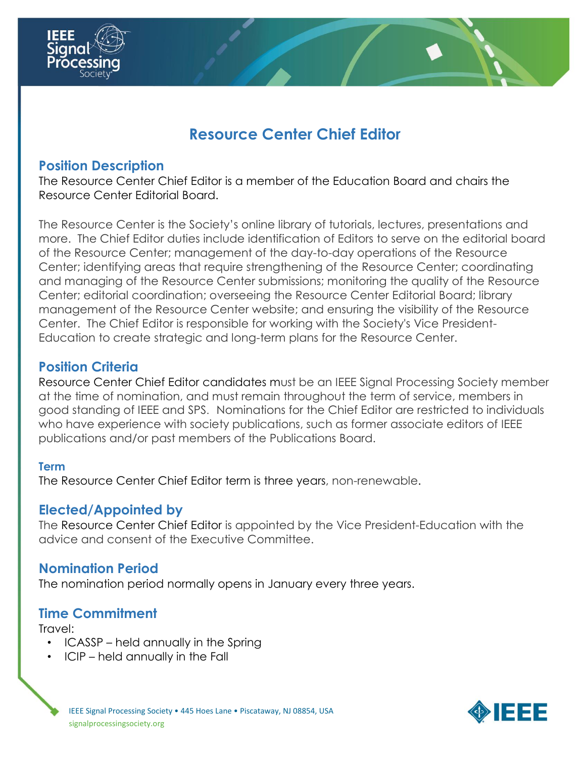

# **Resource Center Chief Editor**

# **Position Description**

The Resource Center Chief Editor is a member of the Education Board and chairs the Resource Center Editorial Board.

The Resource Center is the Society's online library of tutorials, lectures, presentations and more. The Chief Editor duties include identification of Editors to serve on the editorial board of the Resource Center; management of the day-to-day operations of the Resource Center; identifying areas that require strengthening of the Resource Center; coordinating and managing of the Resource Center submissions; monitoring the quality of the Resource Center; editorial coordination; overseeing the Resource Center Editorial Board; library management of the Resource Center website; and ensuring the visibility of the Resource Center. The Chief Editor is responsible for working with the Society's Vice President-Education to create strategic and long-term plans for the Resource Center.

## **Position Criteria**

Resource Center Chief Editor candidates must be an IEEE Signal Processing Society member at the time of nomination, and must remain throughout the term of service, members in good standing of IEEE and SPS. Nominations for the Chief Editor are restricted to individuals who have experience with society publications, such as former associate editors of IEEE publications and/or past members of the Publications Board.

#### **Term**

The Resource Center Chief Editor term is three years, non-renewable.

## **Elected/Appointed by**

The Resource Center Chief Editor is appointed by the Vice President-Education with the advice and consent of the Executive Committee.

#### **Nomination Period**

The nomination period normally opens in January every three years.

#### **Time Commitment**

Travel:

- ICASSP held annually in the Spring
- ICIP held annually in the Fall

IEEE Signal Processing Society • 445 Hoes Lane • Piscataway, NJ 08854, USA signalprocessingsociety.org